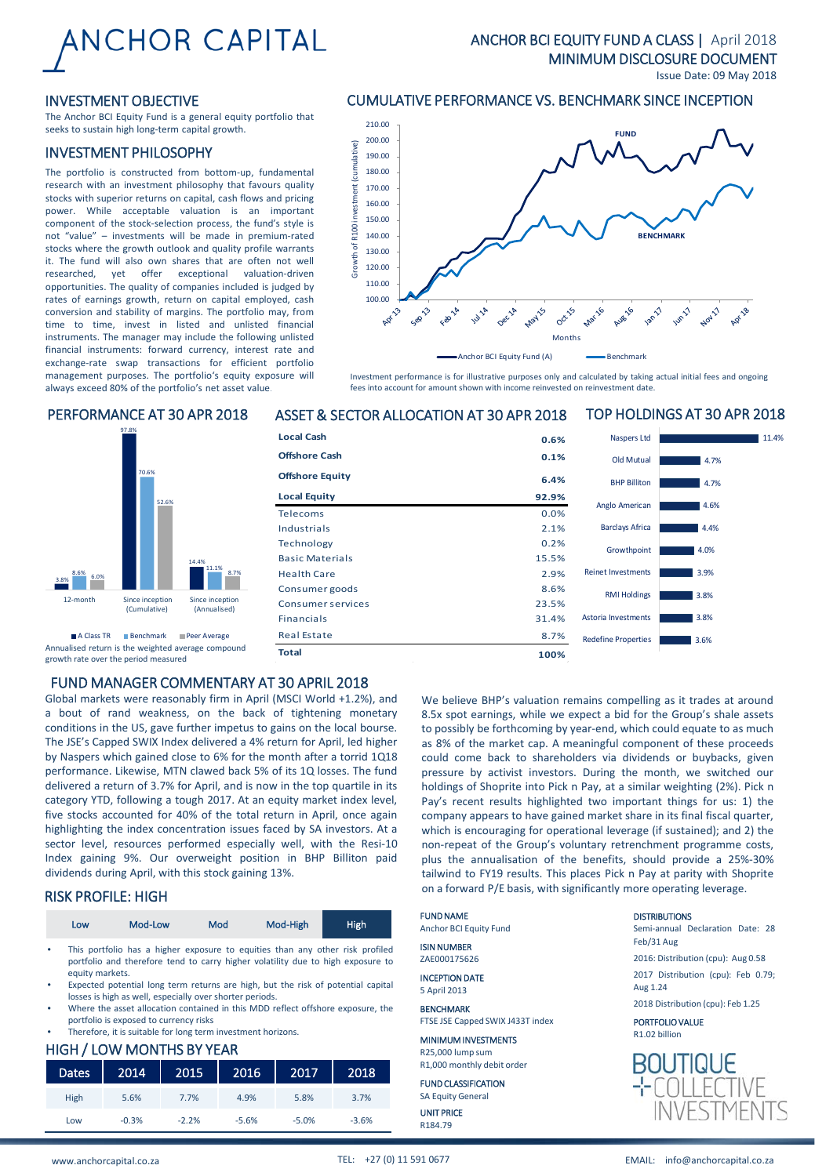# **ANCHOR CAPITAL**

### ANCHOR BCI EQUITY FUND A CLASS | April 2018 MINIMUM DISCLOSURE DOCUMENT

Issue Date: 09 May 2018

TOP HOLDINGS AT 30 APR 2018

11.4%

### INVESTMENT OBJECTIVE

The Anchor BCI Equity Fund is a general equity portfolio that seeks to sustain high long-term capital growth.

### INVESTMENT PHILOSOPHY

The portfolio is constructed from bottom-up, fundamental research with an investment philosophy that favours quality stocks with superior returns on capital, cash flows and pricing power. While acceptable valuation is an important component of the stock-selection process, the fund's style is not "value" – investments will be made in premium-rated stocks where the growth outlook and quality profile warrants it. The fund will also own shares that are often not well researched, yet offer exceptional valuation-driven opportunities. The quality of companies included is judged by rates of earnings growth, return on capital employed, cash conversion and stability of margins. The portfolio may, from time to time, invest in listed and unlisted financial instruments. The manager may include the following unlisted financial instruments: forward currency, interest rate and exchange-rate swap transactions for efficient portfolio management purposes. The portfolio's equity exposure will always exceed 80% of the portfolio's net asset value.

### CUMULATIVE PERFORMANCE VS. BENCHMARK SINCE INCEPTION



Investment performance is for illustrative purposes only and calculated by taking actual initial fees and ongoing fees into account for amount shown with income reinvested on reinvestment date.

### PERFORMANCE AT 30 APR 2018 ASSET & SECTOR ALLOCATION AT 30 APR 2018



Annualised return is the weighted average compound growth rate over the period measured

### FUND MANAGER COMMENTARY AT 30 APRIL 2018

Global markets were reasonably firm in April (MSCI World +1.2%), and a bout of rand weakness, on the back of tightening monetary conditions in the US, gave further impetus to gains on the local bourse. The JSE's Capped SWIX Index delivered a 4% return for April, led higher by Naspers which gained close to 6% for the month after a torrid 1Q18 performance. Likewise, MTN clawed back 5% of its 1Q losses. The fund delivered a return of 3.7% for April, and is now in the top quartile in its category YTD, following a tough 2017. At an equity market index level, five stocks accounted for 40% of the total return in April, once again highlighting the index concentration issues faced by SA investors. At a sector level, resources performed especially well, with the Resi-10 Index gaining 9%. Our overweight position in BHP Billiton paid dividends during April, with this stock gaining 13%.

### RISK PROFILE: HIGH

|           | Low             | Mod-Low | Mod | Mod-High                                                                                                                                                         | <b>High</b> |
|-----------|-----------------|---------|-----|------------------------------------------------------------------------------------------------------------------------------------------------------------------|-------------|
| $\bullet$ | equity markets. |         |     | This portfolio has a higher exposure to equities than any other risk profiled<br>portfolio and therefore tend to carry higher volatility due to high exposure to |             |
|           |                 |         |     | Expected potential long term returns are high, but the risk of potential capital                                                                                 |             |

- losses is high as well, especially over shorter periods.
- Where the asset allocation contained in this MDD reflect offshore exposure, the portfolio is exposed to currency risks .<br>Therefore, it is suitable for long term investment horizons.

### HIGH / LOW MONTHS BY YEAR

| <b>Dates</b> | 2014    | 2015    | 2016    | 2017    | 2018    |
|--------------|---------|---------|---------|---------|---------|
| High         | 5.6%    | 7.7%    | 4.9%    | 5.8%    | 3.7%    |
| Low          | $-0.3%$ | $-2.2%$ | $-5.6%$ | $-5.0%$ | $-3.6%$ |

A Class TR ⊪Benchmark ⊪Peer Average Real Estate 3.6% Redefine Properties 3.6% 3.8% 3.8% 3.9% 4.0%  $A$ 4% 4.6% 4.7% 4.7% Redefine Properties Astoria Investments RMI Holdings Reinet Investments Growthpoint Barclays Africa Anglo American BHP Billiton Old Mutual Naspers Ltd **Local Cash 0.6% Offshore Cash 0.1% Offshore Equity 6.4% Local Equity 92.9%** Telecoms 0.0% Industrials 2.1% Technology 0.2% Basic Materials 15.5% Health Care 2.9% Consumer goods 8.6% Consumer services 23.5% Financials 31.4% Real Estate 8.7%

> We believe BHP's valuation remains compelling as it trades at around 8.5x spot earnings, while we expect a bid for the Group's shale assets to possibly be forthcoming by year-end, which could equate to as much as 8% of the market cap. A meaningful component of these proceeds could come back to shareholders via dividends or buybacks, given pressure by activist investors. During the month, we switched our holdings of Shoprite into Pick n Pay, at a similar weighting (2%). Pick n Pay's recent results highlighted two important things for us: 1) the company appears to have gained market share in its final fiscal quarter, which is encouraging for operational leverage (if sustained); and 2) the non-repeat of the Group's voluntary retrenchment programme costs, plus the annualisation of the benefits, should provide a 25%-30% tailwind to FY19 results. This places Pick n Pay at parity with Shoprite on a forward P/E basis, with significantly more operating leverage.

| <b>FUND NAME</b><br><b>Anchor BCI Equity Fund</b> | <b>DISTRIBUTIONS</b><br>Semi-annual Declaration Date: 28 |  |
|---------------------------------------------------|----------------------------------------------------------|--|
| <b>ISIN NUMBER</b><br>ZAE000175626                | Feb/31 Aug<br>2016: Distribution (cpu): Aug 0.58         |  |
| <b>INCEPTION DATE</b><br>5 April 2013             | 2017 Distribution (cpu): Feb 0.79;<br>Aug 1.24           |  |
| <b>BENCHMARK</b>                                  | 2018 Distribution (cpu): Feb 1.25                        |  |
| FTSE JSE Capped SWIX J433T index                  | PORTFOLIO VALUE                                          |  |
| <b>MINIMUM INVESTMENTS</b>                        | R <sub>1.02</sub> billion                                |  |
| R25,000 lump sum<br>R1,000 monthly debit order    | <b>BOUTIQUE</b>                                          |  |
| <b>FUND CLASSIFICATION</b>                        |                                                          |  |

**Total 100%**

R25.  $R1,0$ FUN SA Equity General UNIT PRICE R184.79

**INVESTMEN**